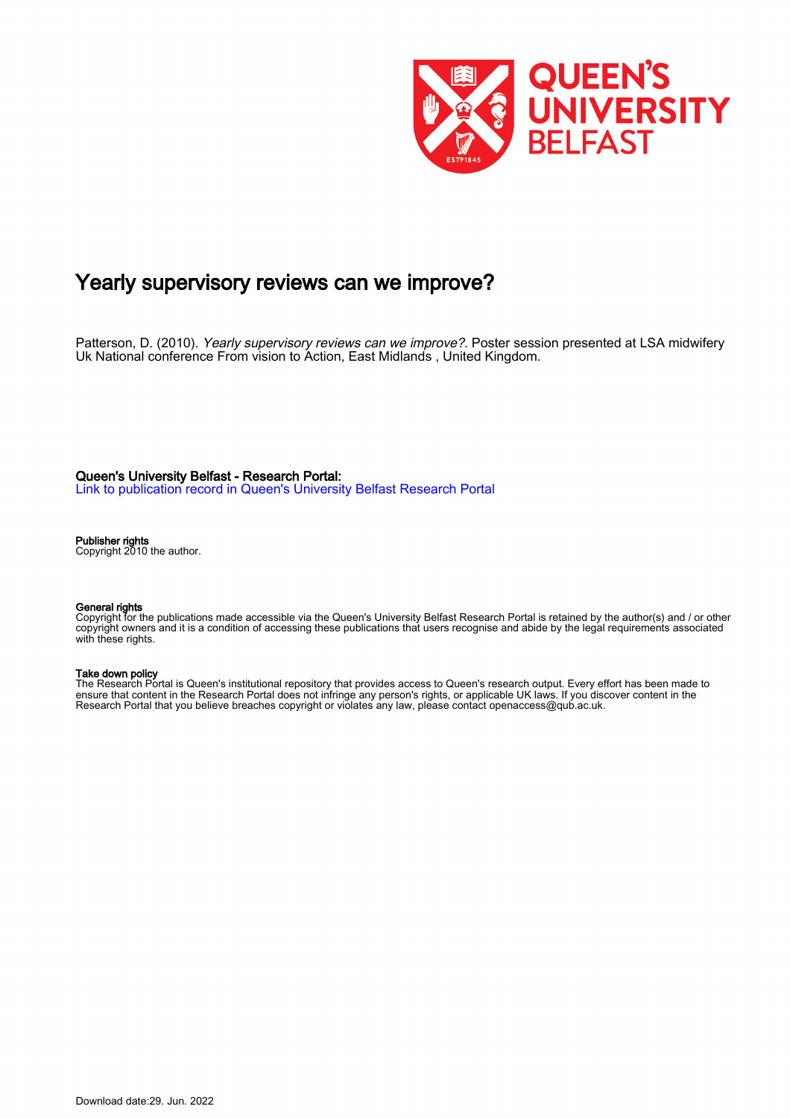

#### Yearly supervisory reviews can we improve?

Patterson, D. (2010). Yearly supervisory reviews can we improve?. Poster session presented at LSA midwifery Uk National conference From vision to Action, East Midlands , United Kingdom.

Queen's University Belfast - Research Portal:

[Link to publication record in Queen's University Belfast Research Portal](https://pure.qub.ac.uk/en/publications/b2e082a4-920d-489f-b703-165ee24ec8f8)

#### Publisher rights

Copyright 2010 the author.

#### General rights

Copyright for the publications made accessible via the Queen's University Belfast Research Portal is retained by the author(s) and / or other copyright owners and it is a condition of accessing these publications that users recognise and abide by the legal requirements associated with these rights.

#### Take down policy

The Research Portal is Queen's institutional repository that provides access to Queen's research output. Every effort has been made to ensure that content in the Research Portal does not infringe any person's rights, or applicable UK laws. If you discover content in the Research Portal that you believe breaches copyright or violates any law, please contact openaccess@qub.ac.uk.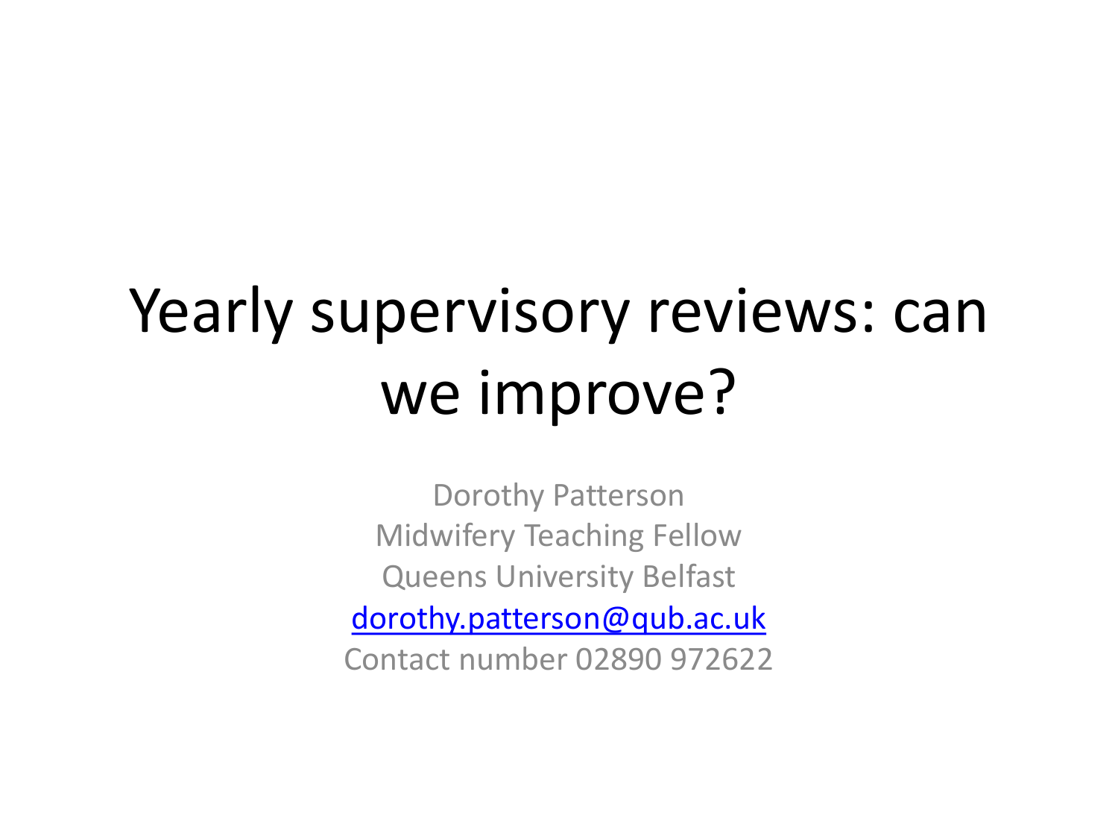# Yearly supervisory reviews: can we improve?

Dorothy Patterson Midwifery Teaching Fellow Queens University Belfast [dorothy.patterson@qub.ac.uk](mailto:dorothy.patterson@qub.ac.uk) Contact number 02890 972622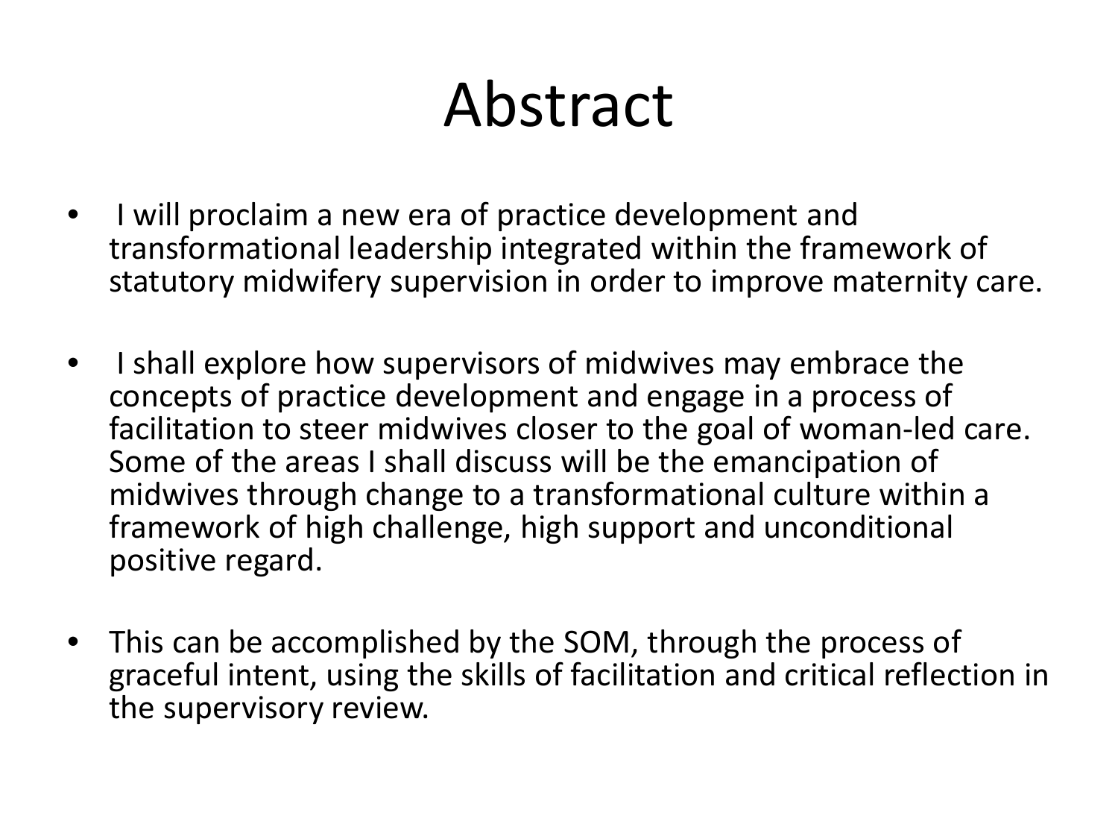# Abstract

- I will proclaim a new era of practice development and transformational leadership integrated within the framework of statutory midwifery supervision in order to improve maternity care.
- I shall explore how supervisors of midwives may embrace the concepts of practice development and engage in a process of facilitation to steer midwives closer to the goal of woman-led care. Some of the areas I shall discuss will be the emancipation of midwives through change to a transformational culture within a framework of high challenge, high support and unconditional positive regard.
- This can be accomplished by the SOM, through the process of graceful intent, using the skills of facilitation and critical reflection in the supervisory review.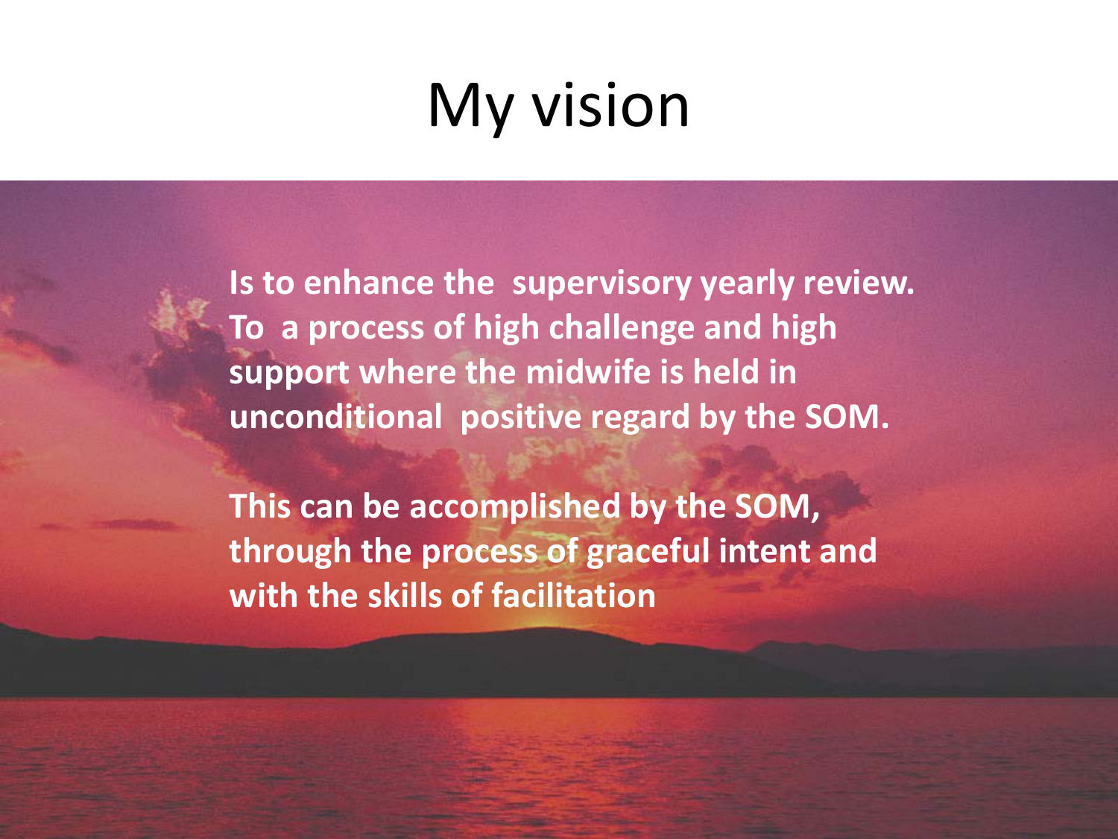# My vision

**Is to enhance the supervisory yearly review. To a process of high challenge and high support where the midwife is held in unconditional positive regard by the SOM.** 

**This can be accomplished by the SOM, through the process of graceful intent and with the skills of facilitation**

Dorothy Patterson 3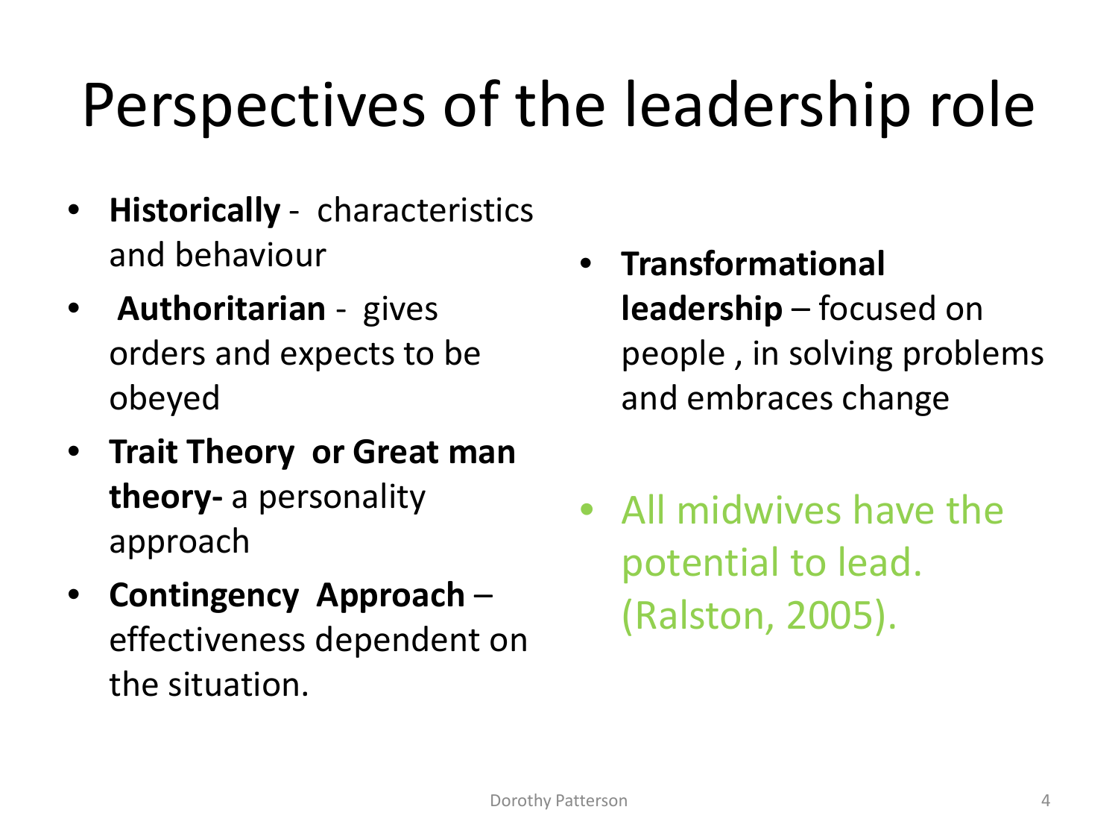# Perspectives of the leadership role

- **Historically** characteristics and behaviour
- **Authoritarian** gives orders and expects to be obeyed
- **Trait Theory or Great man theory-** a personality approach
- **Contingency Approach**  effectiveness dependent on the situation.
- **Transformational leadership** – focused on people , in solving problems and embraces change
- All midwives have the potential to lead. (Ralston, 2005).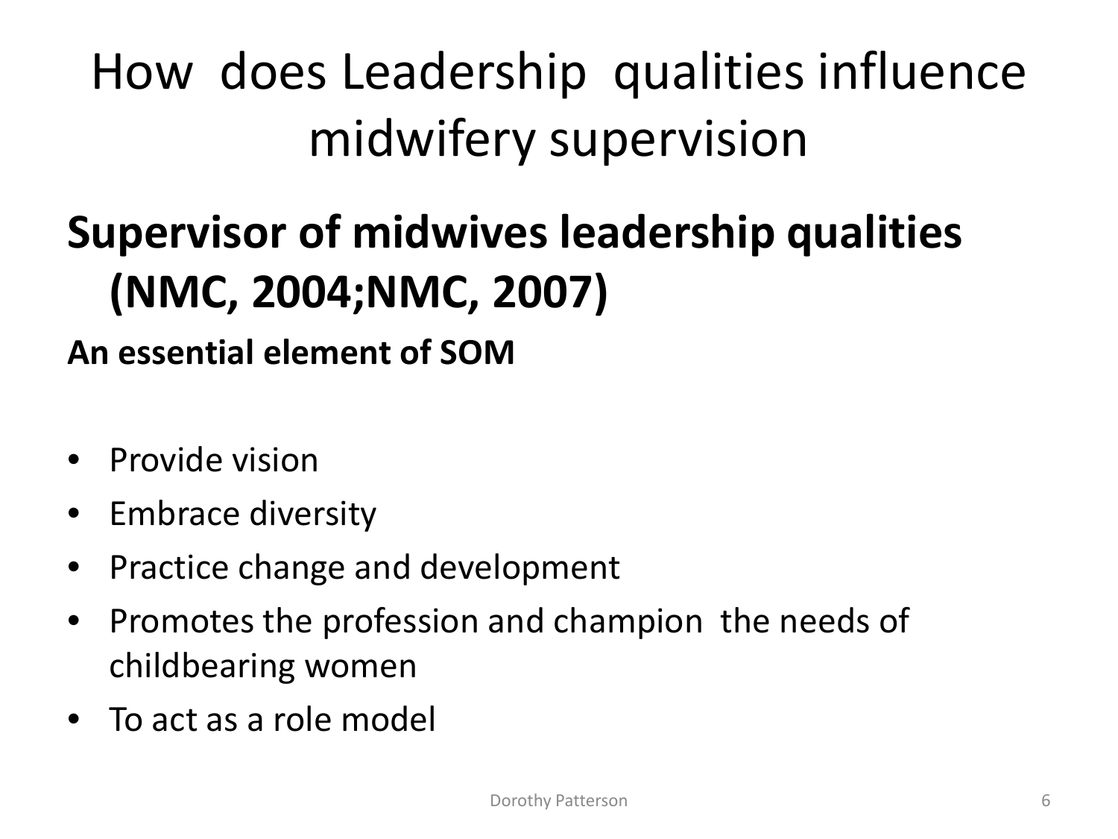## How does Leadership qualities influence midwifery supervision

## **Supervisor of midwives leadership qualities (NMC, 2004;NMC, 2007)**

### **An essential element of SOM**

- Provide vision
- Embrace diversity
- Practice change and development
- Promotes the profession and champion the needs of childbearing women
- To act as a role model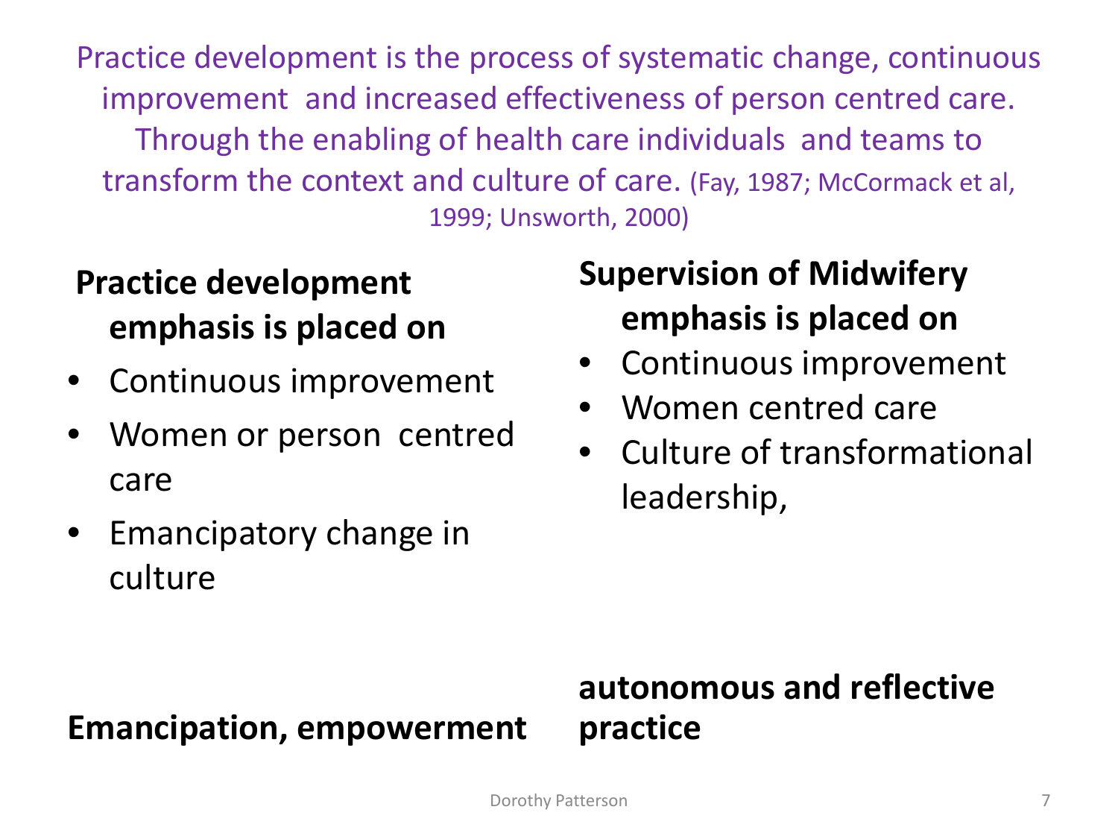Practice development is the process of systematic change, continuous improvement and increased effectiveness of person centred care. Through the enabling of health care individuals and teams to transform the context and culture of care. (Fay, 1987; McCormack et al, 1999; Unsworth, 2000)

### **Practice development emphasis is placed on**

- Continuous improvement
- Women or person centred care
- Emancipatory change in culture

### **Supervision of Midwifery emphasis is placed on**

- Continuous improvement
- Women centred care
- Culture of transformational leadership,

#### **Emancipation, empowerment**

#### **autonomous and reflective practice**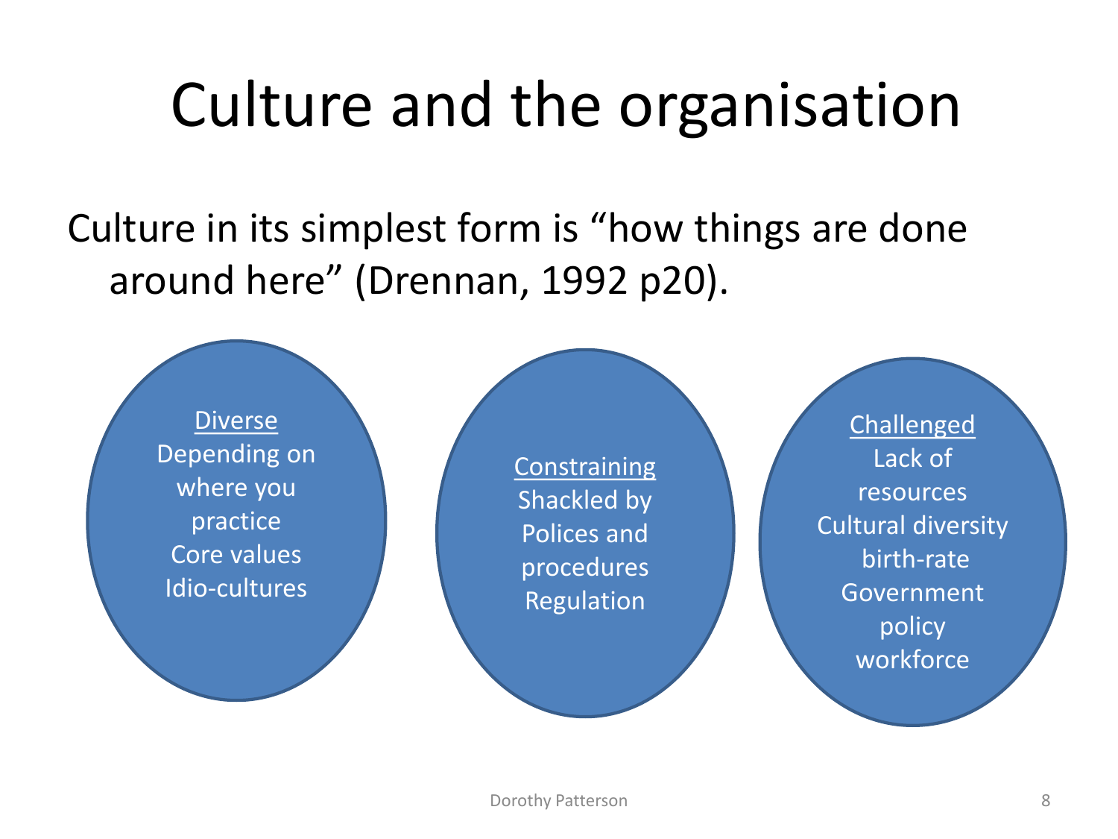# Culture and the organisation

Culture in its simplest form is "how things are done around here" (Drennan, 1992 p20).

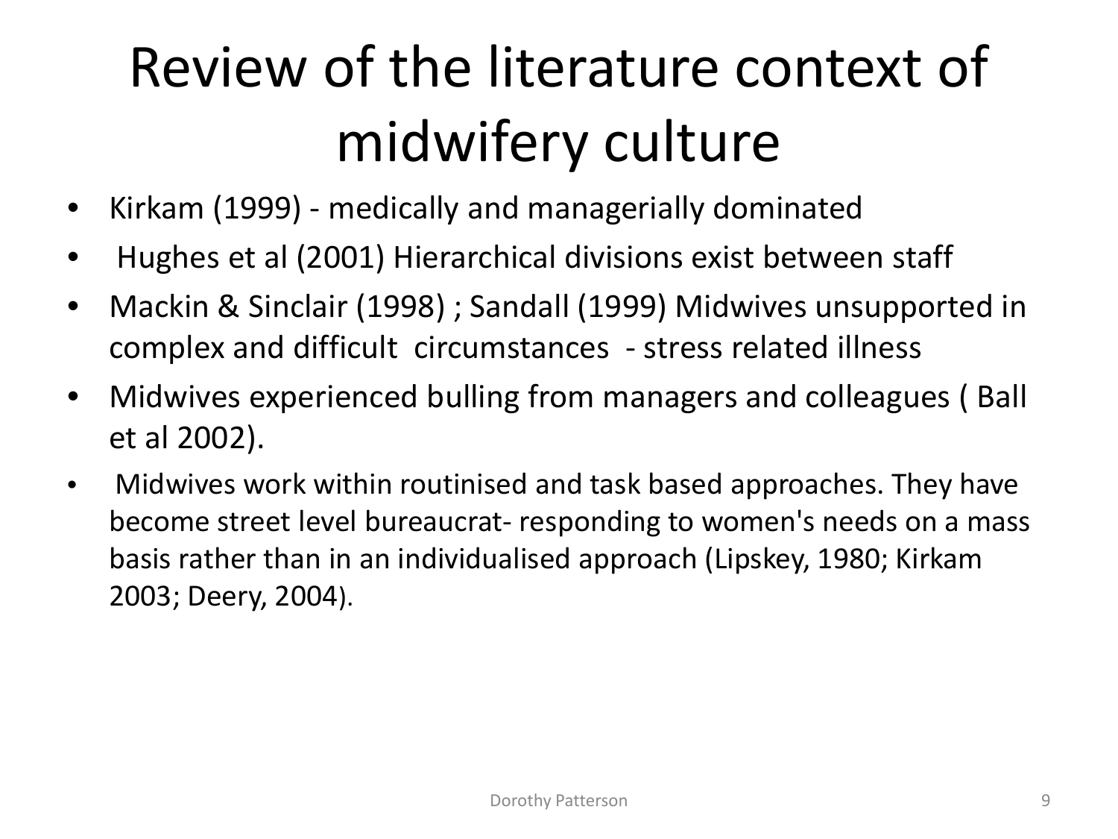# Review of the literature context of midwifery culture

- Kirkam (1999) medically and managerially dominated
- Hughes et al (2001) Hierarchical divisions exist between staff
- Mackin & Sinclair (1998) ; Sandall (1999) Midwives unsupported in complex and difficult circumstances - stress related illness
- Midwives experienced bulling from managers and colleagues ( Ball et al 2002).
- Midwives work within routinised and task based approaches. They have become street level bureaucrat- responding to women's needs on a mass basis rather than in an individualised approach (Lipskey, 1980; Kirkam 2003; Deery, 2004).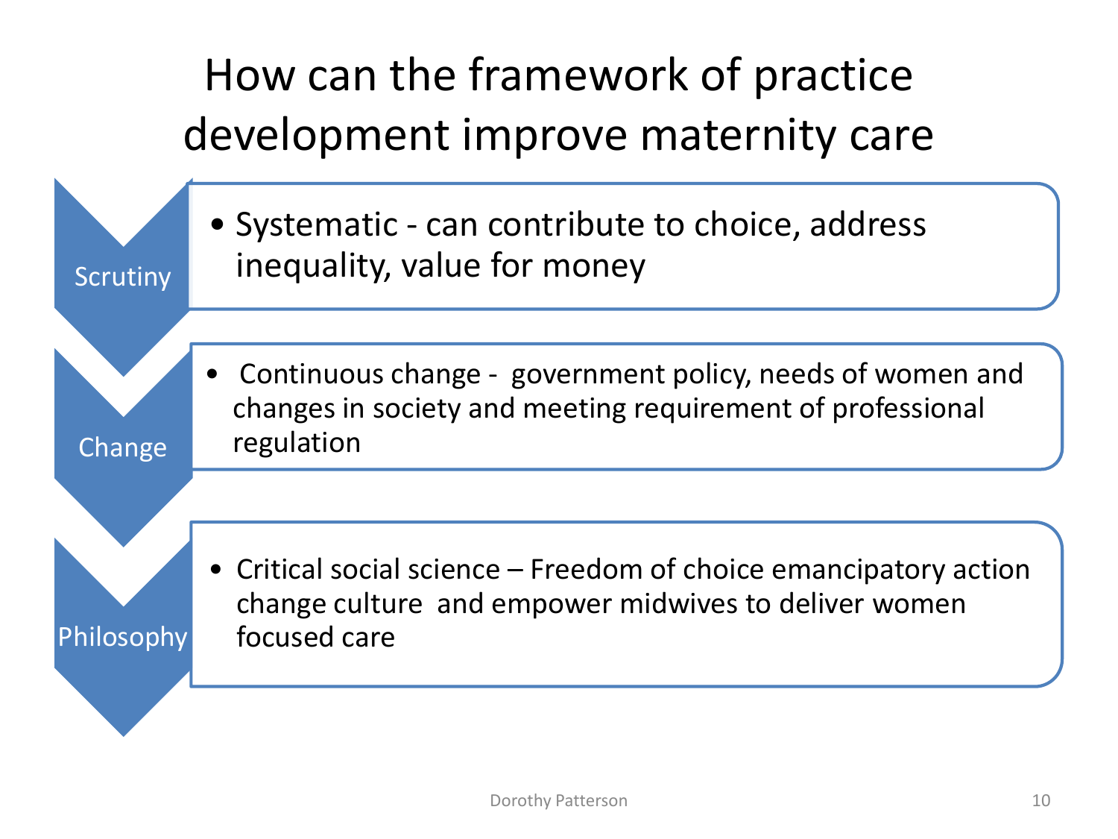## How can the framework of practice development improve maternity care

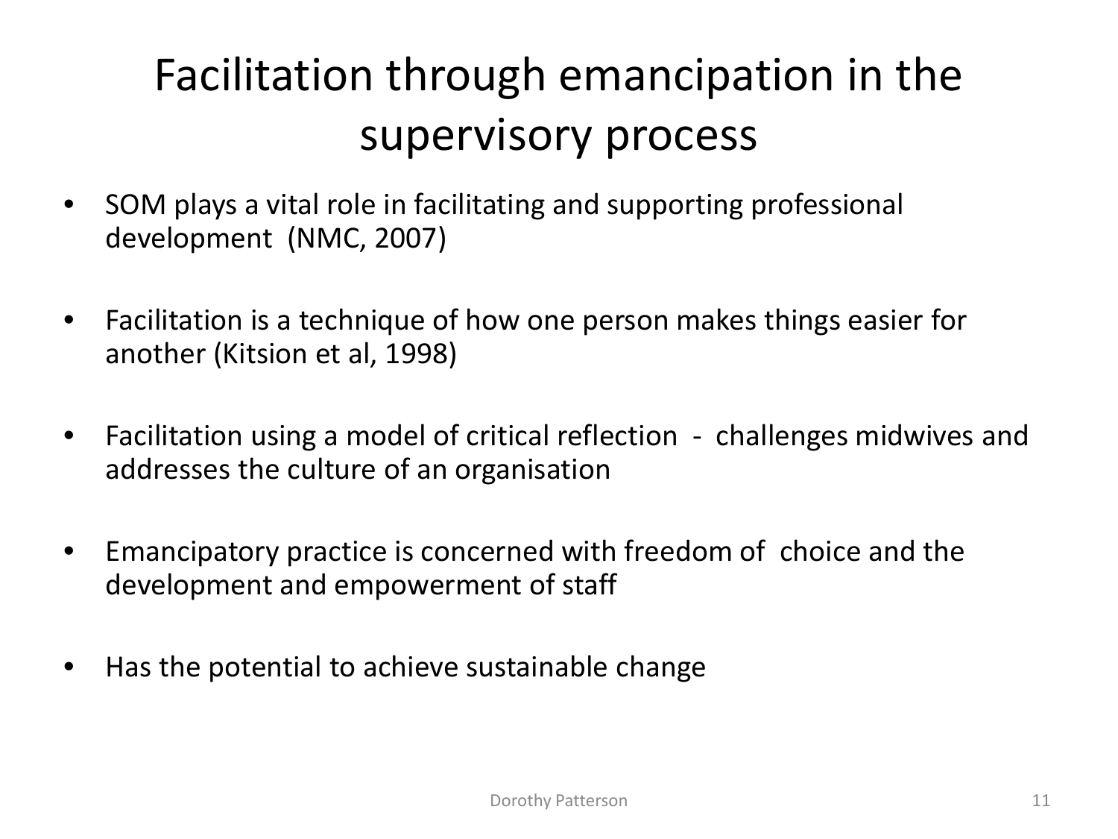## Facilitation through emancipation in the supervisory process

- SOM plays a vital role in facilitating and supporting professional development (NMC, 2007)
- Facilitation is a technique of how one person makes things easier for another (Kitsion et al, 1998)
- Facilitation using a model of critical reflection challenges midwives and addresses the culture of an organisation
- Emancipatory practice is concerned with freedom of choice and the development and empowerment of staff
- Has the potential to achieve sustainable change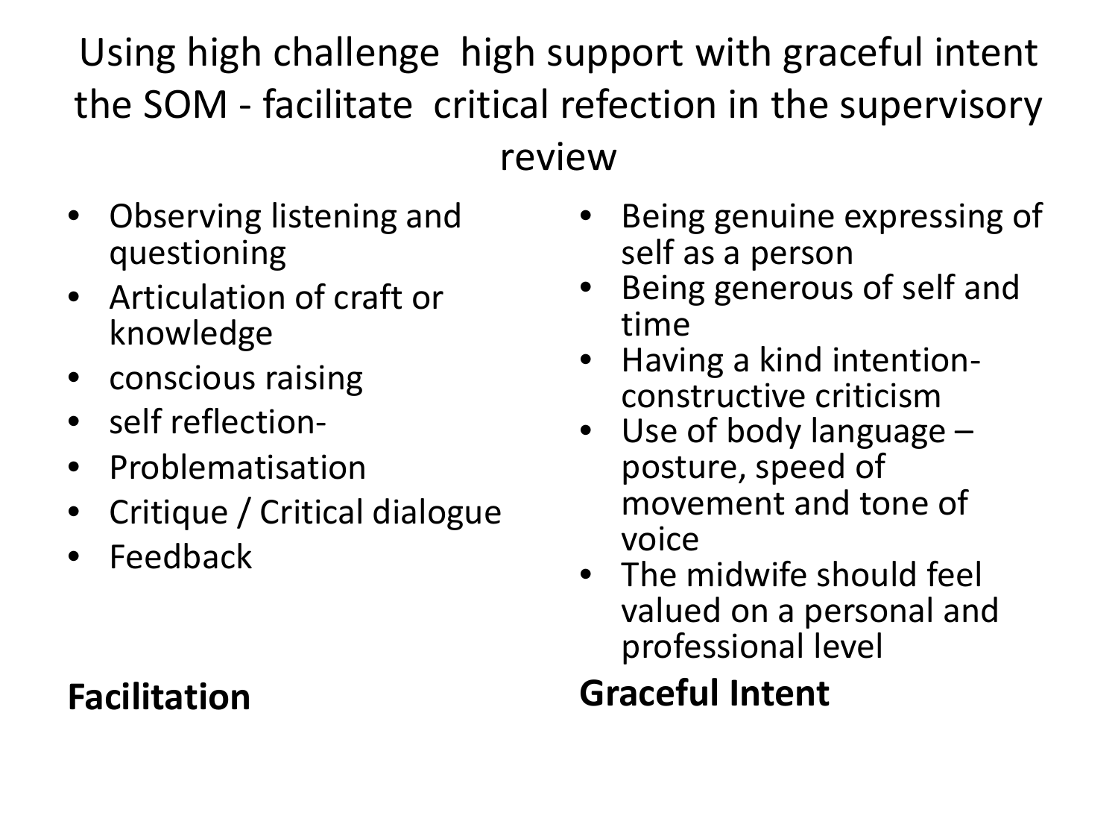Using high challenge high support with graceful intent the SOM - facilitate critical refection in the supervisory review

• Observing listening and questioning

- Articulation of craft or knowledge
- conscious raising
- self reflection-
- Problematisation
- Critique / Critical dialogue
- **Feedback**

**Facilitation**

- Being genuine expressing of self as a person
- Being generous of self and time
- Having a kind intention- constructive criticism
- Use of body language posture, speed of movement and tone of voice
- The midwife should feel valued on a personal and professional level

### **Graceful Intent**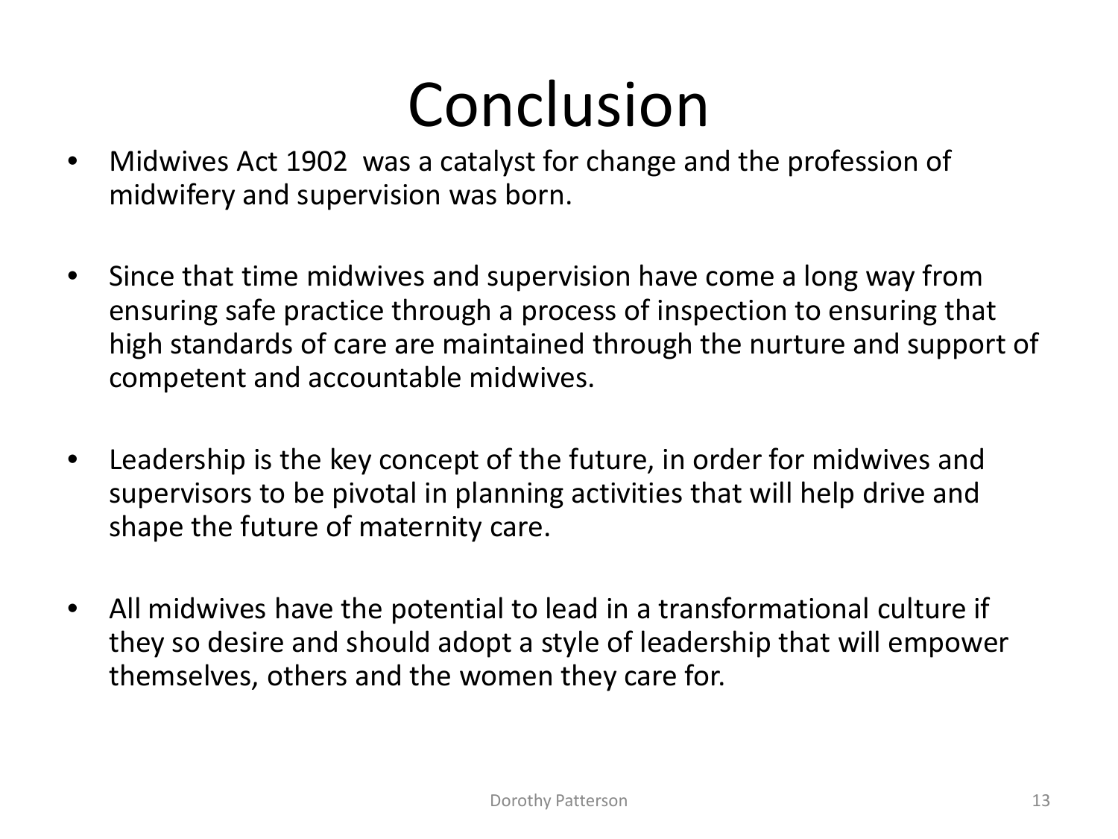# Conclusion

- Midwives Act 1902 was a catalyst for change and the profession of midwifery and supervision was born.
- Since that time midwives and supervision have come a long way from ensuring safe practice through a process of inspection to ensuring that high standards of care are maintained through the nurture and support of competent and accountable midwives.
- Leadership is the key concept of the future, in order for midwives and supervisors to be pivotal in planning activities that will help drive and shape the future of maternity care.
- All midwives have the potential to lead in a transformational culture if they so desire and should adopt a style of leadership that will empower themselves, others and the women they care for.